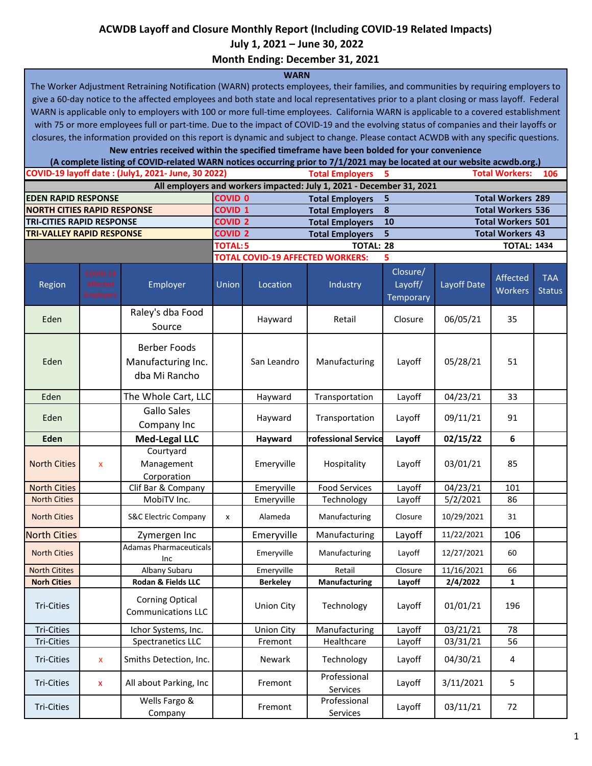## **ACWDB Layoff and Closure Monthly Report (Including COVID-19 Related Impacts)**

 **July 1, 2021 – June 30, 2022**

**Month Ending: December 31, 2021**

## **WARN**

The Worker Adjustment Retraining Notification (WARN) protects employees, their families, and communities by requiring employers to give a 60-day notice to the affected employees and both state and local representatives prior to a plant closing or mass layoff. Federal WARN is applicable only to employers with 100 or more full-time employees. California WARN is applicable to a covered establishment with 75 or more employees full or part-time. Due to the impact of COVID-19 and the evolving status of companies and their layoffs or closures, the information provided on this report is dynamic and subject to change. Please contact ACWDB with any specific questions.

**New entries received within the specified timeframe have been bolded for your convenience**

|                                    |                                          | (A complete listing of COVID-related WARN notices occurring prior to 7/1/2021 may be located at our website acwdb.org.) |          |                                                |                                                                      |                                         |                          |                            |                             |
|------------------------------------|------------------------------------------|-------------------------------------------------------------------------------------------------------------------------|----------|------------------------------------------------|----------------------------------------------------------------------|-----------------------------------------|--------------------------|----------------------------|-----------------------------|
|                                    |                                          | COVID-19 layoff date: (July1, 2021- June, 30 2022)                                                                      |          |                                                | <b>Total Employers</b>                                               | 5                                       |                          | <b>Total Workers:</b>      | 106                         |
|                                    |                                          |                                                                                                                         |          |                                                | All employers and workers impacted: July 1, 2021 - December 31, 2021 |                                         |                          |                            |                             |
| <b>EDEN RAPID RESPONSE</b>         |                                          |                                                                                                                         |          | <b>COVID 0</b><br>5<br><b>Total Employers</b>  |                                                                      |                                         | <b>Total Workers 289</b> |                            |                             |
| <b>NORTH CITIES RAPID RESPONSE</b> |                                          |                                                                                                                         |          | <b>COVID 1</b>                                 | <b>Total Employers</b>                                               | 8                                       | <b>Total Workers 536</b> |                            |                             |
| <b>TRI-CITIES RAPID RESPONSE</b>   |                                          |                                                                                                                         |          | <b>COVID 2</b><br>10<br><b>Total Employers</b> |                                                                      |                                         | <b>Total Workers 501</b> |                            |                             |
| <b>TRI-VALLEY RAPID RESPONSE</b>   |                                          | 5<br><b>COVID 2</b><br><b>Total Employers</b>                                                                           |          |                                                |                                                                      | <b>Total Workers 43</b>                 |                          |                            |                             |
|                                    |                                          |                                                                                                                         | TOTAL: 5 |                                                | <b>TOTAL: 28</b>                                                     |                                         | <b>TOTAL: 1434</b>       |                            |                             |
|                                    |                                          |                                                                                                                         |          | <b>TOTAL COVID-19 AFFECTED WORKERS:</b>        |                                                                      |                                         |                          |                            |                             |
| Region                             | COVID-19<br>Affected<br><b>Employers</b> | Employer                                                                                                                | Union    | Location                                       | Industry                                                             | Closure/<br>Layoff/<br><b>Temporary</b> | Layoff Date              | Affected<br><b>Workers</b> | <b>TAA</b><br><b>Status</b> |
| Eden                               |                                          | Raley's dba Food<br>Source                                                                                              |          | Hayward                                        | Retail                                                               | Closure                                 | 06/05/21                 | 35                         |                             |
| Eden                               |                                          | <b>Berber Foods</b><br>Manufacturing Inc.<br>dba Mi Rancho                                                              |          | San Leandro                                    | Manufacturing                                                        | Layoff                                  | 05/28/21                 | 51                         |                             |
| Eden                               |                                          | The Whole Cart, LLC                                                                                                     |          | Hayward                                        | Transportation                                                       | Layoff                                  | 04/23/21                 | 33                         |                             |
| Eden                               |                                          | <b>Gallo Sales</b><br>Company Inc                                                                                       |          | Hayward                                        | Transportation                                                       | Layoff                                  | 09/11/21                 | 91                         |                             |
| Eden                               |                                          | <b>Med-Legal LLC</b>                                                                                                    |          | Hayward                                        | rofessional Service                                                  | Layoff                                  | 02/15/22                 | 6                          |                             |
| <b>North Cities</b>                | $\boldsymbol{\mathsf{x}}$                | Courtyard<br>Management<br>Corporation                                                                                  |          | Emeryville                                     | Hospitality                                                          | Layoff                                  | 03/01/21                 | 85                         |                             |
| <b>North Cities</b>                |                                          | Clif Bar & Company                                                                                                      |          | Emeryville                                     | <b>Food Services</b>                                                 | Layoff                                  | $\frac{1}{04}/23/21$     | 101                        |                             |
| <b>North Cities</b>                |                                          | MobiTV Inc.                                                                                                             |          | Emeryville                                     | Technology                                                           | Layoff                                  | $\frac{1}{5}/2/2021$     | 86                         |                             |
| <b>North Cities</b>                |                                          | <b>S&amp;C Electric Company</b>                                                                                         | x        | Alameda                                        | Manufacturing                                                        | Closure                                 | 10/29/2021               | 31                         |                             |
| <b>North Cities</b>                |                                          | Zymergen Inc                                                                                                            |          | Emeryville                                     | Manufacturing                                                        | Layoff                                  | 11/22/2021               | 106                        |                             |
| <b>North Cities</b>                |                                          | <b>Adamas Pharmaceuticals</b><br>Inc                                                                                    |          | Emeryville                                     | Manufacturing                                                        | Layoff                                  | 12/27/2021               | 60                         |                             |
| <b>North Citites</b>               |                                          | Albany Subaru                                                                                                           |          | Emeryville                                     | Retail                                                               | Closure                                 | 11/16/2021               | 66                         |                             |
| <b>Norh Cities</b>                 |                                          | Rodan & Fields LLC                                                                                                      |          | <b>Berkeley</b>                                | Manufacturing                                                        | Layoff                                  | 2/4/2022                 | 1                          |                             |
| Tri-Cities                         |                                          | <b>Corning Optical</b><br><b>Communications LLC</b>                                                                     |          | <b>Union City</b>                              | Technology                                                           | Layoff                                  | 01/01/21                 | 196                        |                             |
| <b>Tri-Cities</b>                  |                                          | Ichor Systems, Inc.                                                                                                     |          | <b>Union City</b>                              | Manufacturing                                                        | Layoff                                  | 03/21/21                 | 78                         |                             |
| Tri-Cities                         |                                          | Spectranetics LLC                                                                                                       |          | Fremont                                        | Healthcare                                                           | Layoff                                  | 03/31/21                 | 56                         |                             |
| <b>Tri-Cities</b>                  | $\pmb{\mathsf{x}}$                       | Smiths Detection, Inc.                                                                                                  |          | Newark                                         | Technology                                                           | Layoff                                  | 04/30/21                 | 4                          |                             |
| Tri-Cities                         | X                                        | All about Parking, Inc                                                                                                  |          | Fremont                                        | Professional<br>Services                                             | Layoff                                  | 3/11/2021                | 5                          |                             |
| Tri-Cities                         |                                          | Wells Fargo &<br>Company                                                                                                |          | Fremont                                        | Professional<br>Services                                             | Layoff                                  | 03/11/21                 | 72                         |                             |